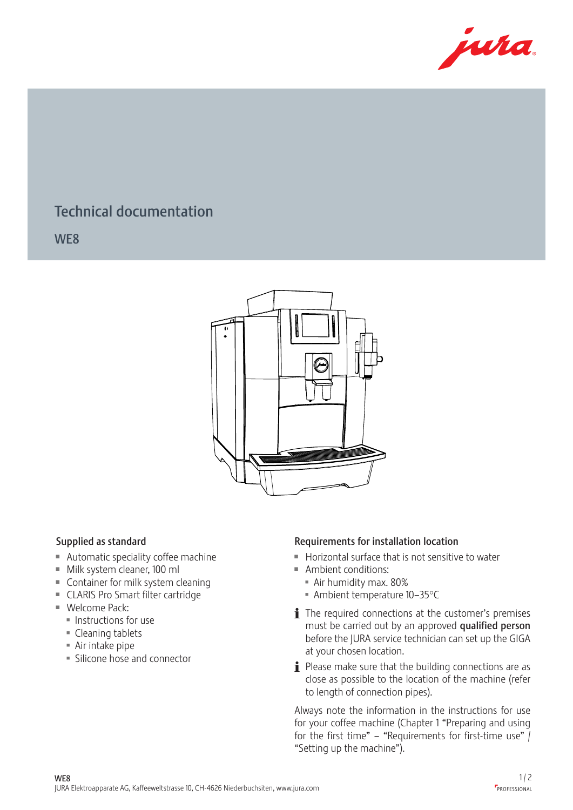

## Technical documentation Tec<br>2012<br>2013<br>2014

WE8



- $\blacksquare$  Automatic speciality coffee machine
- $M$  Milk system cleaner, 100 ml
- $\blacksquare$  Container for milk system cleaning
	- CLARIS Pro Smart filter cartridge
	- $\blacksquare$  Welcome Pack:
		- $\blacksquare$  Instructions for use
		- $\blacksquare$  Cleaning tablets
		- $\blacksquare$  Air intake pipe
		- **Silicone hose and connector**

## Supplied as standard **Cappu Type Type Type Type Type Area** Requirements for installation location

- $\blacksquare$  Horizontal surface that is not sensitive to water  $rac{1}{2}$
- **Ambient conditions:**  $\sim$   $\sim$   $\sim$
- Mindent Conditions.<br>Air humidity max. 80%
	- $\blacksquare$  Ambient temperature 10–35°C
	- $\mathbf i$  The required connections at the customer's premises must be carried out by an approved qualified person before the JURA service technician can set up the GIGA at your chosen location.
	- $\mathbf i$  Please make sure that the building connections are as close as possible to the location of the machine (refer to length of connection pipes).

Always note the information in the instructions for use for your coffee machine (Chapter 1 "Preparing and using for the first time" – "Requirements for first-time use"  $\int$ "Setting up the machine").